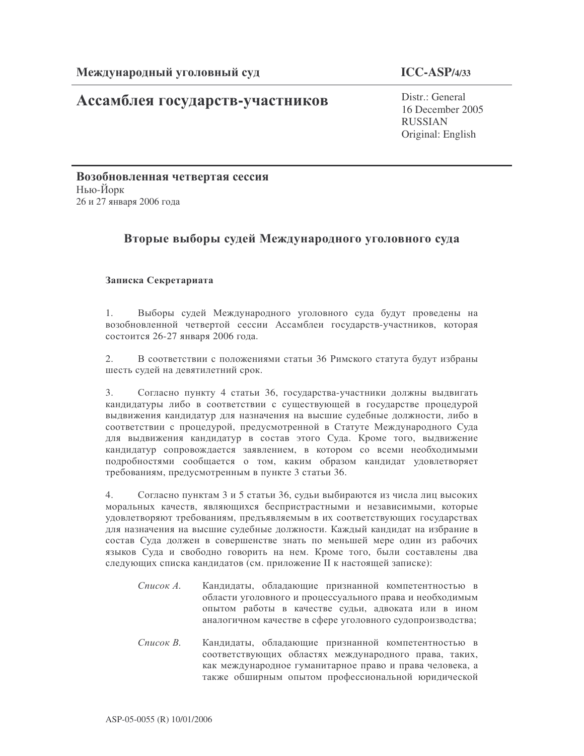# Ассамблея государств-участников

 $ICC-ASP/4/33$ 

 $Distr \cdot General$ 16 December 2005 **RUSSIAN** Original: English

Возобновленная четвертая сессия Нью-Йорк 26 и 27 января 2006 года

## Вторые выборы судей Международного уголовного суда

### Записка Секретариата

 $1<sub>1</sub>$ Выборы судей Международного уголовного суда будут проведены на возобновленной четвертой сессии Ассамблеи государств-участников, которая состоится 26-27 января 2006 года.

В соответствии с положениями статьи 36 Римского статута будут избраны 2. шесть судей на девятилетний срок.

 $3.$ Согласно пункту 4 статьи 36, государства-участники должны выдвигать кандидатуры либо в соответствии с существующей в государстве процедурой выдвижения кандидатур для назначения на высшие судебные должности, либо в соответствии с процедурой, предусмотренной в Статуте Международного Суда для выдвижения кандидатур в состав этого Суда. Кроме того, выдвижение кандидатур сопровождается заявлением, в котором со всеми необходимыми подробностями сообщается о том, каким образом кандидат удовлетворяет требованиям, предусмотренным в пункте 3 статьи 36.

 $4.$ Согласно пунктам 3 и 5 статьи 36, судьи выбираются из числа лиц высоких моральных качеств, являющихся беспристрастными и независимыми, которые удовлетворяют требованиям, предъявляемым в их соответствующих государствах для назначения на высшие судебные должности. Каждый кандидат на избрание в состав Суда должен в совершенстве знать по меньшей мере один из рабочих языков Суда и свободно говорить на нем. Кроме того, были составлены два следующих списка кандидатов (см. приложение II к настоящей записке):

- Список А. Кандидаты, обладающие признанной компетентностью в области уголовного и процессуального права и необходимым опытом работы в качестве судьи, адвоката или в ином аналогичном качестве в сфере уголовного судопроизводства;
- Список В. Кандидаты, обладающие признанной компетентностью в соответствующих областях международного права, таких, как международное гуманитарное право и права человека, а также обширным опытом профессиональной юридической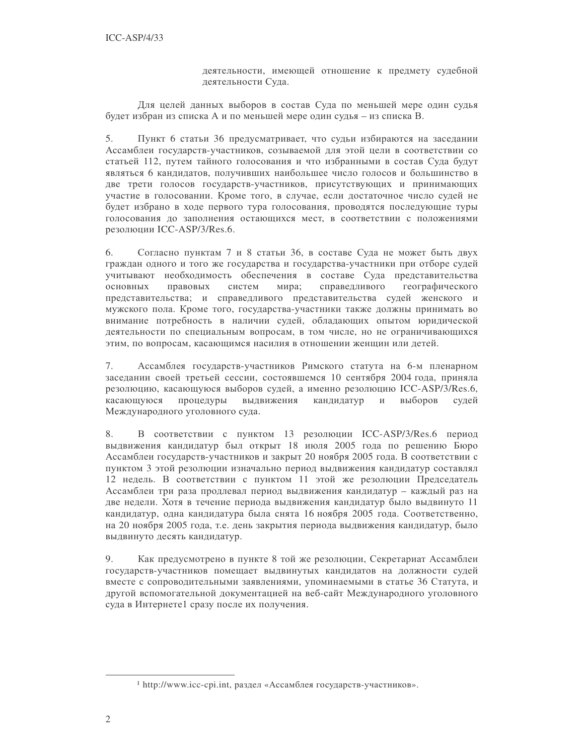деятельности, имеющей отношение к предмету судебной деятельности Суда.

Для целей данных выборов в состав Суда по меньшей мере один судья будет избран из списка А и по меньшей мере один судья - из списка В.

 $5<sub>1</sub>$ Пункт 6 статьи 36 предусматривает, что судьи избираются на заседании Ассамблеи государств-участников, созываемой для этой цели в соответствии со статьей 112, путем тайного голосования и что избранными в состав Суда будут являться 6 кандидатов, получивших наибольшее число голосов и большинство в две трети голосов государств-участников, присутствующих и принимающих участие в голосовании. Кроме того, в случае, если достаточное число судей не будет избрано в ходе первого тура голосования, проводятся последующие туры голосования до заполнения остающихся мест, в соответствии с положениями резолюции ICC-ASP/3/Res.6.

Согласно пунктам 7 и 8 статьи 36, в составе Суда не может быть двух 6. граждан одного и того же государства и государства-участники при отборе судей учитывают необходимость обеспечения в составе Суда представительства справедливого правовых систем мира; географического основных представительства; и справедливого представительства судей женского и мужского пола. Кроме того, государства-участники также должны принимать во внимание потребность в наличии судей, обладающих опытом юридической деятельности по специальным вопросам, в том числе, но не ограничивающихся этим, по вопросам, касающимся насилия в отношении женщин или детей.

7. Ассамблея государств-участников Римского статута на 6-м пленарном заседании своей третьей сессии, состоявшемся 10 сентября 2004 года, приняла резолюцию, касающуюся выборов судей, а именно резолюцию ICC-ASP/3/Res.6, касающуюся процедуры выдвижения кандидатур и выборов судей Международного уголовного суда.

8. В соответствии с пунктом 13 резолюции ICC-ASP/3/Res.6 период выдвижения кандидатур был открыт 18 июля 2005 года по решению Бюро Ассамблеи государств-участников и закрыт 20 ноября 2005 года. В соответствии с пунктом 3 этой резолюции изначально период выдвижения кандидатур составлял 12 недель. В соответствии с пунктом 11 этой же резолюции Председатель Ассамблеи три раза продлевал период выдвижения кандидатур - каждый раз на две недели. Хотя в течение периода выдвижения кандидатур было выдвинуто 11 кандидатур, одна кандидатура была снята 16 ноября 2005 года. Соответственно, на 20 ноября 2005 года, т.е. день закрытия периода выдвижения кандидатур, было выдвинуто десять кандидатур.

9. Как предусмотрено в пункте 8 той же резолюции, Секретариат Ассамблеи государств-участников помещает выдвинутых кандидатов на должности судей вместе с сопроводительными заявлениями, упоминаемыми в статье 36 Статута, и другой вспомогательной документацией на веб-сайт Международного уголовного суда в Интернете1 сразу после их получения.

<sup>&</sup>lt;sup>1</sup> http://www.icc-cpi.int, раздел «Ассамблея государств-участников».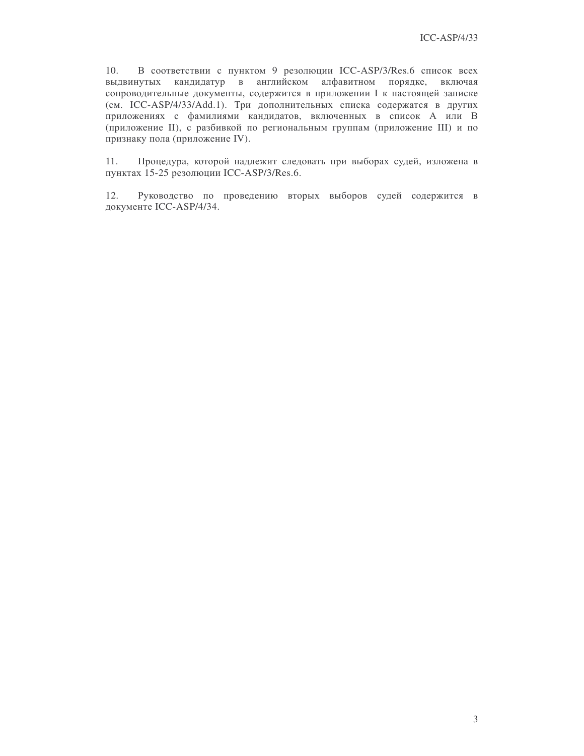10. В соответствии с пунктом 9 резолюции ICC-ASP/3/Res.6 список всех выдвинутых кандидатур в английском алфавитном порядке, включая сопроводительные документы, содержится в приложении I к настоящей записке (см. ICC-ASP/4/33/Add.1). Три дополнительных списка содержатся в других приложениях с фамилиями кандидатов, включенных в список А или В (приложение II), с разбивкой по региональным группам (приложение III) и по признаку пола (приложение IV).

11. Процедура, которой надлежит следовать при выборах судей, изложена в пунктах 15-25 резолюции ICC-ASP/3/Res.6.

12. Руководство по проведению вторых выборов судей содержится в документе ICC-ASP/4/34.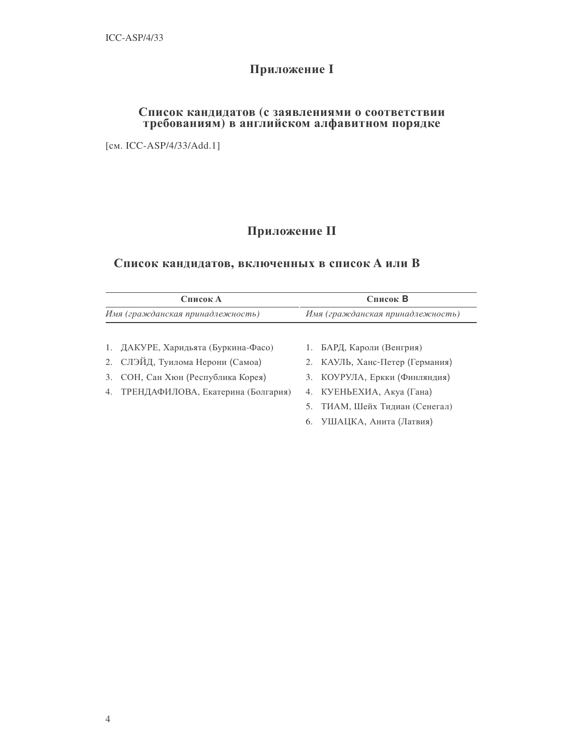# **Приложение I**

# Список кандидатов (с заявлениями о соответствии требованиям) в английском алфавитном порядке

[cm. ICC-ASP/4/33/Add.1]

# Приложение II

## Список кандидатов, включенных в список А или В

| Список А<br>Имя (гражданская принадлежность) |  | Список В<br>Имя (гражданская принадлежность) |                                 |
|----------------------------------------------|--|----------------------------------------------|---------------------------------|
|                                              |  |                                              |                                 |
| 1. ДАКУРЕ, Харидьята (Буркина-Фасо)          |  |                                              | 1. БАРД, Кароли (Венгрия)       |
| 2. СЛЭЙД, Туилома Нерони (Самоа)             |  |                                              | 2. КАУЛЬ, Ханс-Петер (Германия) |
| 3. СОН, Сан Хюн (Республика Корея)           |  |                                              | 3. КОУРУЛА, Еркки (Финляндия)   |
| 4. ТРЕНДАФИЛОВА, Екатерина (Болгария)        |  |                                              | 4. КУЕНЬЕХИА, Акуа (Гана)       |
|                                              |  |                                              | 5. ТИАМ, Шейх Тидиан (Сенегал)  |
|                                              |  | 6.                                           | УШАЦКА, Анита (Латвия)          |
|                                              |  |                                              |                                 |